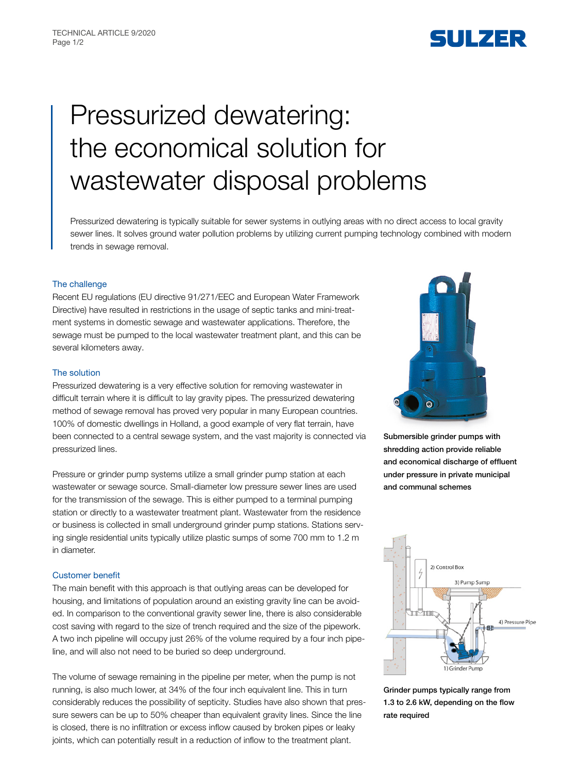

# Pressurized dewatering: the economical solution for wastewater disposal problems

Pressurized dewatering is typically suitable for sewer systems in outlying areas with no direct access to local gravity sewer lines. It solves ground water pollution problems by utilizing current pumping technology combined with modern trends in sewage removal.

# The challenge

Recent EU regulations (EU directive 91/271/EEC and European Water Framework Directive) have resulted in restrictions in the usage of septic tanks and mini-treatment systems in domestic sewage and wastewater applications. Therefore, the sewage must be pumped to the local wastewater treatment plant, and this can be several kilometers away.

# The solution

Pressurized dewatering is a very effective solution for removing wastewater in difficult terrain where it is difficult to lay gravity pipes. The pressurized dewatering method of sewage removal has proved very popular in many European countries. 100% of domestic dwellings in Holland, a good example of very flat terrain, have been connected to a central sewage system, and the vast majority is connected via pressurized lines.

Pressure or grinder pump systems utilize a small grinder pump station at each wastewater or sewage source. Small-diameter low pressure sewer lines are used for the transmission of the sewage. This is either pumped to a terminal pumping station or directly to a wastewater treatment plant. Wastewater from the residence or business is collected in small underground grinder pump stations. Stations serving single residential units typically utilize plastic sumps of some 700 mm to 1.2 m in diameter.

### Customer benefit

The main benefit with this approach is that outlying areas can be developed for housing, and limitations of population around an existing gravity line can be avoided. In comparison to the conventional gravity sewer line, there is also considerable cost saving with regard to the size of trench required and the size of the pipework. A two inch pipeline will occupy just 26% of the volume required by a four inch pipeline, and will also not need to be buried so deep underground.

The volume of sewage remaining in the pipeline per meter, when the pump is not running, is also much lower, at 34% of the four inch equivalent line. This in turn considerably reduces the possibility of septicity. Studies have also shown that pressure sewers can be up to 50% cheaper than equivalent gravity lines. Since the line is closed, there is no infiltration or excess inflow caused by broken pipes or leaky joints, which can potentially result in a reduction of inflow to the treatment plant.



Submersible grinder pumps with shredding action provide reliable and economical discharge of effluent under pressure in private municipal and communal schemes



Grinder pumps typically range from 1.3 to 2.6 kW, depending on the flow rate required